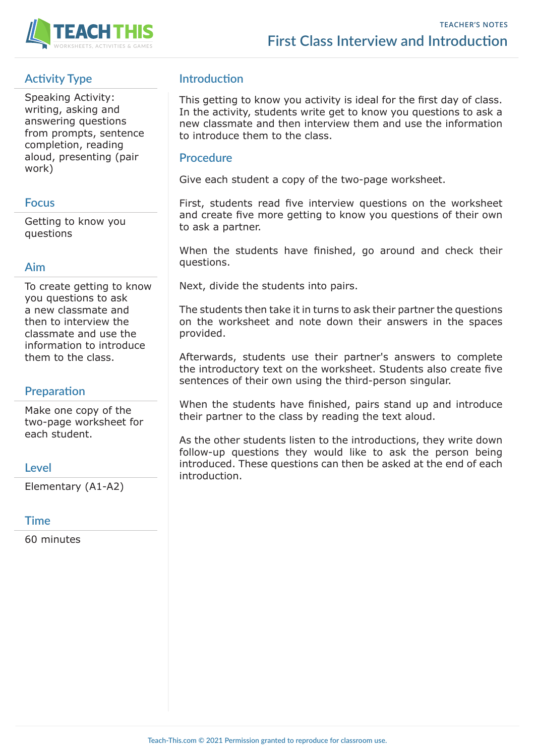

# **Activity Type**

Speaking Activity: writing, asking and answering questions from prompts, sentence completion, reading aloud, presenting (pair work)

## **Focus**

Getting to know you questions

## **Aim**

To create getting to know you questions to ask a new classmate and then to interview the classmate and use the information to introduce them to the class.

# **Preparation**

Make one copy of the two-page worksheet for each student.

## **Level**

Elementary (A1-A2)

### **Time**

60 minutes

# **Introduction**

This getting to know you activity is ideal for the first day of class. In the activity, students write get to know you questions to ask a new classmate and then interview them and use the information to introduce them to the class.

### **Procedure**

Give each student a copy of the two-page worksheet.

First, students read five interview questions on the worksheet and create five more getting to know you questions of their own to ask a partner.

When the students have finished, go around and check their questions.

Next, divide the students into pairs.

The students then take it in turns to ask their partner the questions on the worksheet and note down their answers in the spaces provided.

Afterwards, students use their partner's answers to complete the introductory text on the worksheet. Students also create five sentences of their own using the third-person singular.

When the students have finished, pairs stand up and introduce their partner to the class by reading the text aloud.

As the other students listen to the introductions, they write down follow-up questions they would like to ask the person being introduced. These questions can then be asked at the end of each introduction.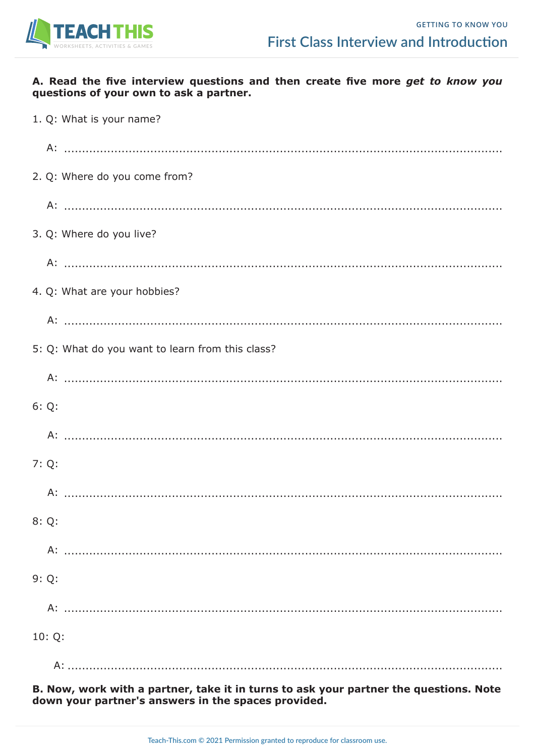

### A. Read the five interview questions and then create five more get to know you questions of your own to ask a partner.

| 1. Q: What is your name?                         |
|--------------------------------------------------|
|                                                  |
| 2. Q: Where do you come from?                    |
|                                                  |
| 3. Q: Where do you live?                         |
|                                                  |
| 4. Q: What are your hobbies?                     |
|                                                  |
| 5: Q: What do you want to learn from this class? |
|                                                  |
| 6:Q:                                             |
|                                                  |
| 7:Q:                                             |
| $A$ :                                            |
| 8:Q:                                             |
|                                                  |
| 9:Q:                                             |
|                                                  |
| 10:Q:                                            |
| A:                                               |

B. Now, work with a partner, take it in turns to ask your partner the questions. Note down your partner's answers in the spaces provided.